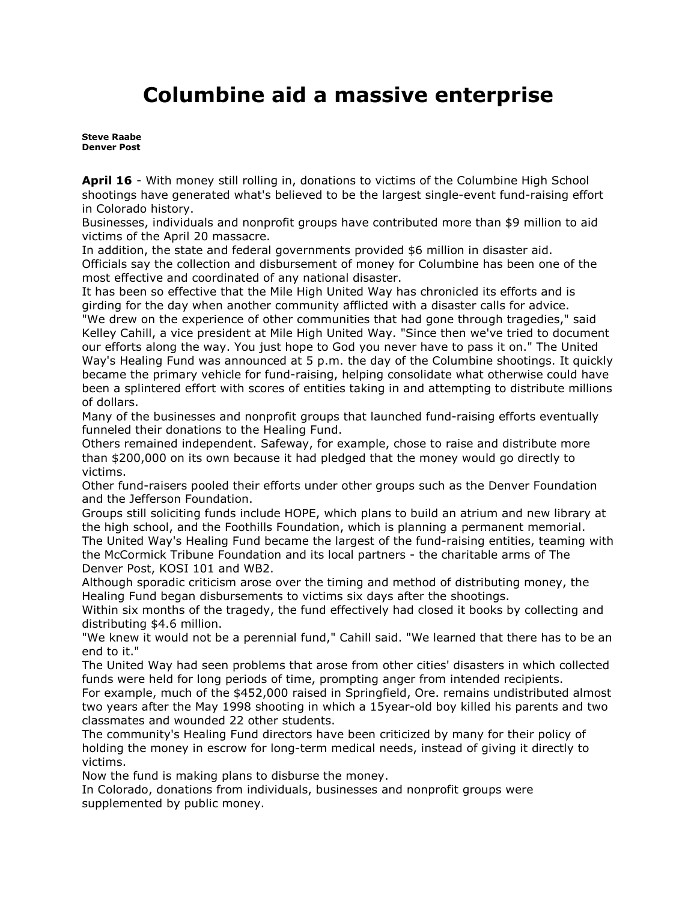## **Columbine aid a massive enterprise**

**[Steve Raabe](mailto:sraabe@denverpost.com) Denver Post** 

**April 16** - With money still rolling in, donations to victims of the Columbine High School shootings have generated what's believed to be the largest single-event fund-raising effort in Colorado history.

Businesses, individuals and nonprofit groups have contributed more than \$9 million to aid victims of the April 20 massacre.

In addition, the state and federal governments provided \$6 million in disaster aid. Officials say the collection and disbursement of money for Columbine has been one of the most effective and coordinated of any national disaster.

It has been so effective that the Mile High United Way has chronicled its efforts and is girding for the day when another community afflicted with a disaster calls for advice.

"We drew on the experience of other communities that had gone through tragedies," said Kelley Cahill, a vice president at Mile High United Way. "Since then we've tried to document our efforts along the way. You just hope to God you never have to pass it on." The United Way's Healing Fund was announced at 5 p.m. the day of the Columbine shootings. It quickly became the primary vehicle for fund-raising, helping consolidate what otherwise could have been a splintered effort with scores of entities taking in and attempting to distribute millions of dollars.

Many of the businesses and nonprofit groups that launched fund-raising efforts eventually funneled their donations to the Healing Fund.

Others remained independent. Safeway, for example, chose to raise and distribute more than \$200,000 on its own because it had pledged that the money would go directly to victims.

Other fund-raisers pooled their efforts under other groups such as the Denver Foundation and the Jefferson Foundation.

Groups still soliciting funds include HOPE, which plans to build an atrium and new library at the high school, and the Foothills Foundation, which is planning a permanent memorial. The United Way's Healing Fund became the largest of the fund-raising entities, teaming with the McCormick Tribune Foundation and its local partners - the charitable arms of The Denver Post, KOSI 101 and WB2.

Although sporadic criticism arose over the timing and method of distributing money, the Healing Fund began disbursements to victims six days after the shootings.

Within six months of the tragedy, the fund effectively had closed it books by collecting and distributing \$4.6 million.

"We knew it would not be a perennial fund," Cahill said. "We learned that there has to be an end to it."

The United Way had seen problems that arose from other cities' disasters in which collected funds were held for long periods of time, prompting anger from intended recipients.

For example, much of the \$452,000 raised in Springfield, Ore. remains undistributed almost two years after the May 1998 shooting in which a 15year-old boy killed his parents and two classmates and wounded 22 other students.

The community's Healing Fund directors have been criticized by many for their policy of holding the money in escrow for long-term medical needs, instead of giving it directly to victims.

Now the fund is making plans to disburse the money.

In Colorado, donations from individuals, businesses and nonprofit groups were supplemented by public money.